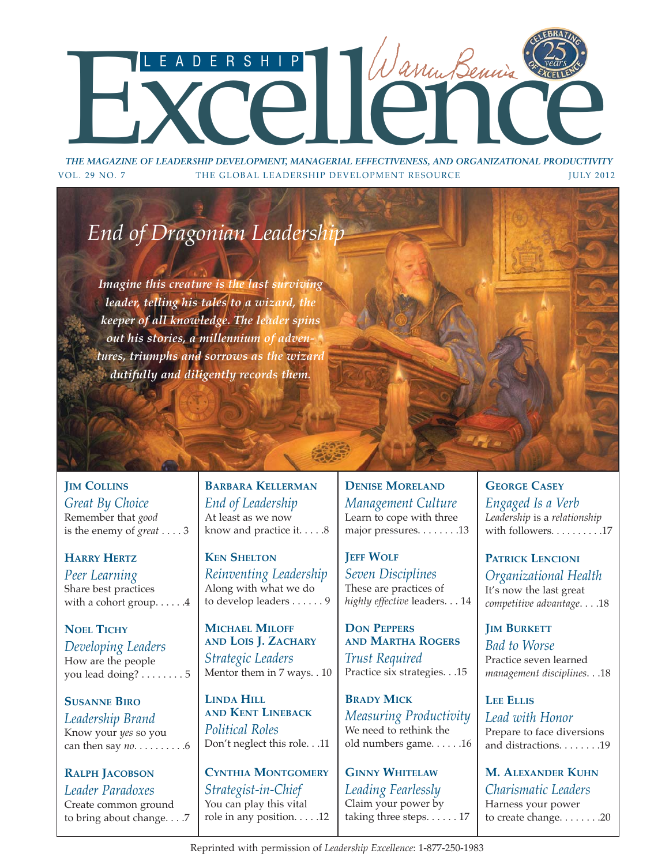# THE MAGAZINE OF LEADERSHIP DEVELOPMENT, MANAGERIAL EFFECTIVENESS, AND ORGANIZATIONAL PRODUCTIVITY

*THE MAGAZINE OF LEADERSHIP DEVELOPMENT, MANAGERIAL EFFECTIVENESS, AND ORGANIZATIONAL PRODUCTIVITY* VOL. 29 NO. 7 THE GLOBAL LEADERSHIP DEVELOPMENT RESOURCE **THE SULF 2012** 

# *End of Dragonian Leadership*

*Imagine this creature is the last surviving leader, telling his tales to a wizard, the keeper of all knowledge. The leader spins out his stories, a millennium of adventures, triumphs and sorrows as the wizard dutifully and diligently records them.*

**JIM COLLINS** *Great By Choice* Remember that *good* is the enemy of *great* . . . . 3

**HARRY HERTZ** *Peer Learning* Share best practices with a cohort group. . . . . . 4

**NOEL TICHY** *Developing Leaders* How are the people you lead doing? . . . . . . . . 5

**SUSANNE BIRO** *Leadership Brand* Know your *yes* so you can then say *no*. . . . . . . . . .6

**RALPH JACOBSON** *Leader Paradoxes* Create common ground to bring about change. . . .7

**BARBARA KELLERMAN** *End of Leadership* At least as we now know and practice it. . . . .8

**KEN SHELTON** *Reinventing Leadership* Along with what we do to develop leaders . . . . . . 9

**MICHAEL MILOFF AND LOIS J. ZACHARY** *Strategic Leaders* Mentor them in 7 ways. . 10

**LINDA HILL AND KENT LINEBACK** *Political Roles* Don't neglect this role. . .11

**CYNTHIA MONTGOMERY** *Strategist-in-Chief* You can play this vital role in any position. . . . .12 **DENISE MORELAND** *Management Culture* Learn to cope with three major pressures. . . . . . . .13

**JEFF WOLF** *Seven Disciplines* These are practices of *highly effective* leaders. . . 14

**DON PEPPERS AND MARTHA ROGERS** *Trust Required* Practice six strategies. . .15

**BRADY MICK** *Measuring Productivity* We need to rethink the old numbers game. . . . . .16

**GINNY WHITELAW** *Leading Fearlessly* Claim your power by taking three steps. . . . . . 17 **GEORGE CASEY** *Engaged Is a Verb Leadership* is a *relationship* with followers. . . . . . . . . . 17

**PATRICK LENCIONI** *Organizational Health* It's now the last great *competitive advantage*. . . .18

**JIM BURKETT** *Bad to Worse* Practice seven learned *management disciplines*. . .18

**LEE ELLIS** *Lead with Honor* Prepare to face diversions and distractions. . . . . . . .19

**M. ALEXANDER KUHN** *Charismatic Leaders* Harness your power to create change. . . . . . . .20

Reprinted with permission of *Leadership Excellence*: 1-877-250-1983